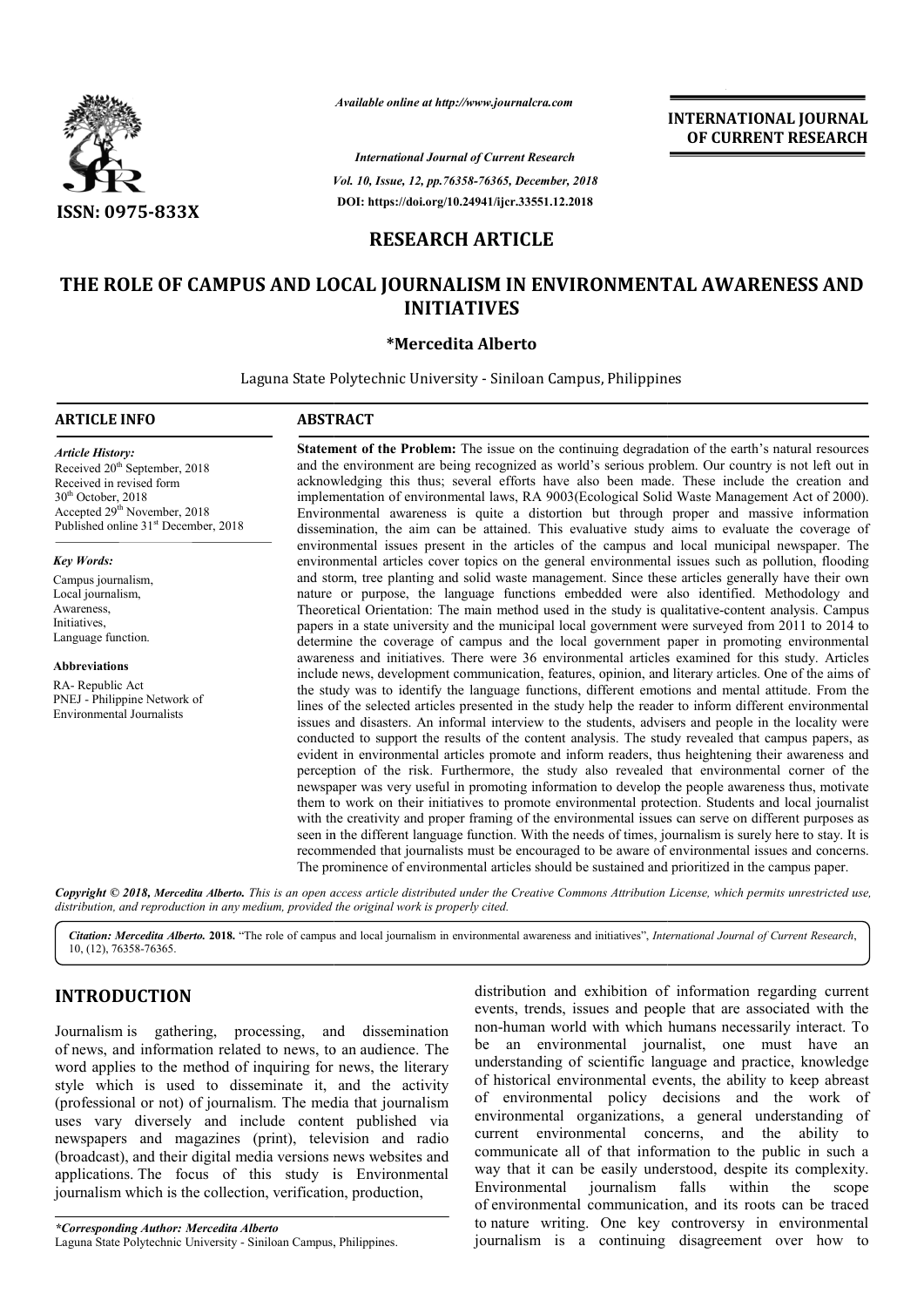

*Available online at http://www.journalcra.com*

*Vol. 10, Issue, 12, pp. pp.76358-76365, December, 2018 International Journal of Current Research* **DOI: https://doi.org/10.24941/ijcr.33551.12.2018**

**INTERNATIONAL JOURNAL OF CURRENT RESEARCH**

# **RESEARCH ARTICLE**

# THE ROLE OF CAMPUS AND LOCAL JOURNALISM IN ENVIRONMENTAL AWARENESS AND **INITIATIVES**

# **\*Mercedita Alberto**

Laguna State Polytechnic University - Siniloan Campus, Philippines

## **ARTICLE INFO ABSTRACT**

*Article History:* Received 20<sup>th</sup> September, 2018 Received in revised form 30<sup>th</sup> October, 2018 Accepted 29th November, 2018 Published online 31<sup>st</sup> December, 2018

### *Key Words:*

Campus journalism, Local journalism. Awareness, Initiatives, Language function.

**Abbreviations**

RA- Republic Act PNEJ - Philippine Network of Environmental Journalists

**Statement of the Problem:** The issue on the continuing degradation of the earth's natural resources and the environment are being recognized as world's serious problem. Our country is not left out in **Statement of the Problem:** The issue on the continuing degradation of the earth's natural resources and the environment are being recognized as world's serious problem. Our country is not left out in acknowledging this th implementation of environmental laws, RA 9003(Ecological Solid Waste Management Act of 2000). Environmental awareness is quite a distortion but through proper and massive information dissemination, the aim can be attained. This evaluative study aims to evaluate the coverage of environmental issues present in the articles of the campus and local municipal newspaper. The environmental articles cover topics on the general environmental issues such as pollution, flooding and storm, tree planting and solid waste management. Since these articles generally have their own nature or purpose, the language functions embedded were also identified. Methodology and Theoretical Orientation: The main method used in the study is qualitative papers in a state university and the municipal local government were surveyed from 2011 to 2014 to determine the coverage of campus and the local government paper in promoting environmental awareness and initiatives. There were 36 environmental articles examined for this study. Articles include news, development communication, features, opinion, and literary articles. One of the aims of the study was to identify the language functions, different emotions and mental attitude. From the lines of the selected articles presented in the study help the reader to inform different environmental issues and disasters. An informal interview to the students, advisers and people in the locality were conducted to support the results of the content analysis. The study revealed that campus papers, as evident in environmental articles promote and inform readers, thus heightening their awareness and perception of the risk. Furthermore, the study also revealed that environmental corner of the newspaper was very useful in promoting information to develop the people awareness thus, motivate them to work on their initiatives to promote environmental protection. Students and local journalist with the creativity and proper framing of the environmental issues can serve on different purposes as seen in the different language function. With the needs of times, journalism is surely here to stay. It is recommended that journalists must be encouraged to be aware of environmental issues and concerns. The prominence of environmental articles should be sustained and prioritized in the campus paper. implementation of environmental laws, RA 9003(Ecological Solid Waste Management Act of 2000).<br>Environmental awareness is quite a distortion but through proper and massive information<br>dissemination, the aim can be attained. papers in a state university and the municipal local government were surveyed from 2011 to 2014 to determine the coverage of campus and the local government paper in promoting environmental awareness and initiatives. There seen in the different language function. With the needs of times, journalism is surely here to<br>recommended that journalists must be encouraged to be aware of environmental issues and<br>The prominence of environmental article **INTERNATIONAL JOURNAL**<br> **OF CURRENT RESEARCH**<br> **OF CURRENT RESEARCH**<br> **OF CURRENT RESEARCH**<br> **E. 1.12.2018**<br> **E. 1.12.2018**<br> **E.**<br> **E.**<br> **E.**<br> **E.**<br> **E.**<br> **E.**<br> **E.**<br> **E.**<br> **E.**<br> **E.**<br> **E.**<br> **E.**<br> **E.**<br> **E.**<br> **E.**<br> **E.**<br>

Copyright © 2018, Mercedita Alberto. This is an open access article distributed under the Creative Commons Attribution License, which permits unrestricted use, *distribution, and reproduction in any medium, provided the original work is properly cited.*

Citation: Mercedita Alberto. 2018. "The role of campus and local journalism in environmental awareness and initiatives", *International Journal of Current Research*, 10, (12), 76358-76365.

# **INTRODUCTION**

Journalism is gathering, processing, and dissemination of news, and information related to news, to an audience. The word applies to the method of inquiring for news, the literary style which is used to disseminate it, and the activity (professional or not) of journalism. The media that journalism uses vary diversely and include content published via newspapers and magazines (print), television and radio (broadcast), and their digital media versions news websites and applications. The focus of this study is Environmental journalism which is the collection, verification, production,

*\*Corresponding Author: Mercedita Alberto* Laguna State Polytechnic University - Siniloan Campus, Philippines.

distribution and exhibition of information regarding current<br>
events, trends, issues and people that are associated with the<br>
non-human world with which humans necessarily interact. To<br>
be an environmental journalist, one events, trends, issues and people that are associated with the non-human world with which humans necessarily interact. be an environmental journalist, one must have an understanding of scientific language and practice, knowledge of historical environmental events, the ability to keep abreast of environmental policy decisions and the work of environmental organizations, a general understanding of current environmental concerns, and the ability to communicate all of that information to the public in such a way that it can be easily understood, despite its complexity.<br>Environmental iournalism falls within the scope Environmental journalism falls within the scope of environmental communication, and its roots can be traced to nature writing. One key controversy in environmental journalism is a continuing disagreement over how to distribution and exhibition of information regarding current<br>events, trends, issues and people that are associated with the<br>non-human world with which humans necessarily interact. To an environmental journalist, one must have an erstanding of scientific language and practice, knowledge instorical environmental events, the ability to keep abreast environmental policy decisions and the work of ironmental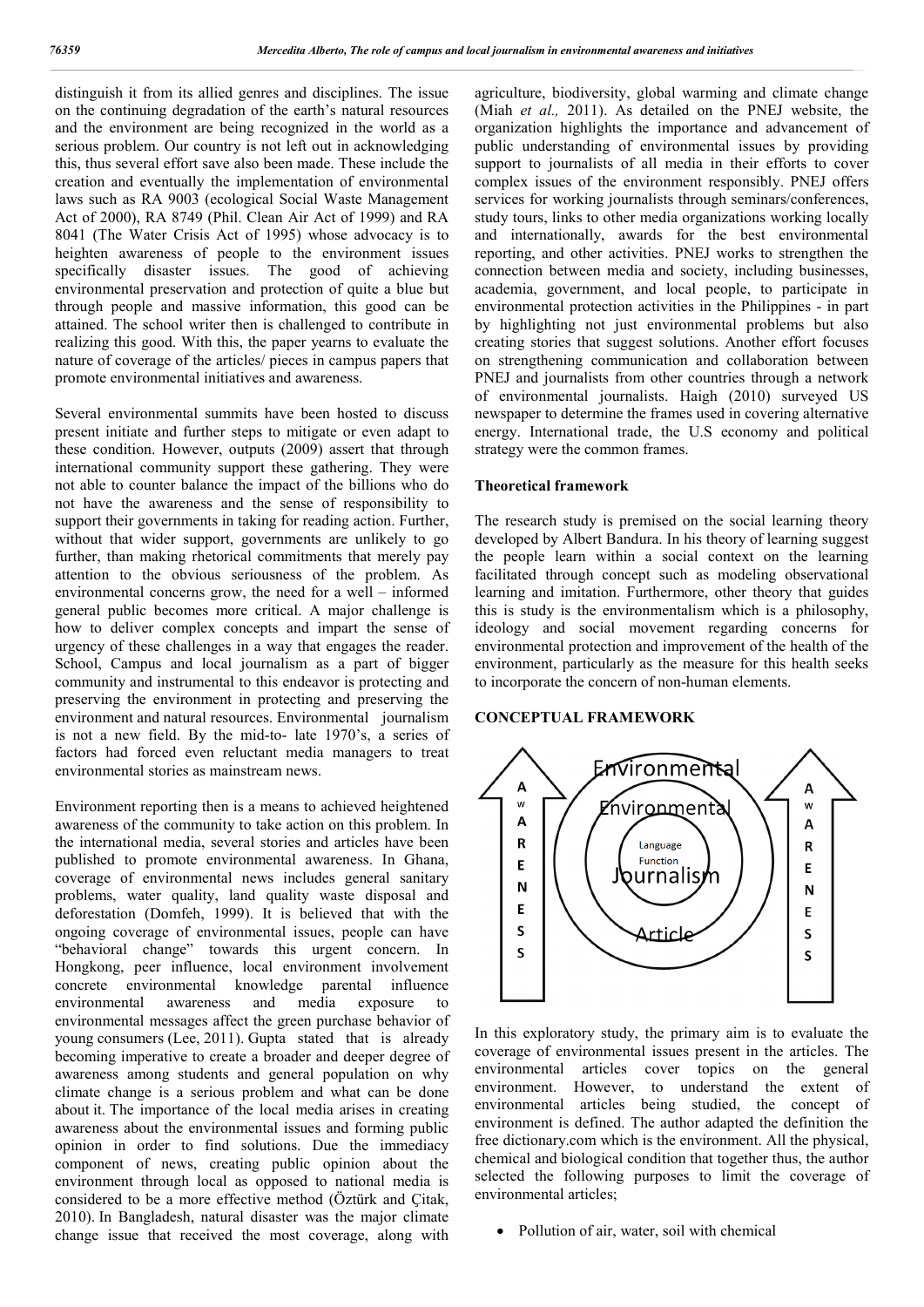distinguish it from its allied genres and disciplines. The issue on the continuing degradation of the earth's natural resources and the environment are being recognized in the world as a serious problem. Our country is not left out in acknowledging this, thus several effort save also been made. These include the creation and eventually the implementation of environmental laws such as RA 9003 (ecological Social Waste Management Act of 2000), RA 8749 (Phil. Clean Air Act of 1999) and RA 8041 (The Water Crisis Act of 1995) whose advocacy is to heighten awareness of people to the environment issues specifically disaster issues. The good of achieving environmental preservation and protection of quite a blue but through people and massive information, this good can be attained. The school writer then is challenged to contribute in realizing this good. With this, the paper yearns to evaluate the nature of coverage of the articles/ pieces in campus papers that promote environmental initiatives and awareness.

Several environmental summits have been hosted to discuss present initiate and further steps to mitigate or even adapt to these condition. However, outputs (2009) assert that through international community support these gathering. They were not able to counter balance the impact of the billions who do not have the awareness and the sense of responsibility to support their governments in taking for reading action. Further, without that wider support, governments are unlikely to go further, than making rhetorical commitments that merely pay attention to the obvious seriousness of the problem. As environmental concerns grow, the need for a well – informed general public becomes more critical. A major challenge is how to deliver complex concepts and impart the sense of urgency of these challenges in a way that engages the reader. School, Campus and local journalism as a part of bigger community and instrumental to this endeavor is protecting and preserving the environment in protecting and preserving the environment and natural resources. Environmental journalism is not a new field. By the mid-to- late 1970's, a series of factors had forced even reluctant media managers to treat environmental stories as mainstream news.

Environment reporting then is a means to achieved heightened awareness of the community to take action on this problem. In the international media, several stories and articles have been published to promote environmental awareness. In Ghana, coverage of environmental news includes general sanitary problems, water quality, land quality waste disposal and deforestation (Domfeh, 1999). It is believed that with the ongoing coverage of environmental issues, people can have "behavioral change" towards this urgent concern. In Hongkong, peer influence, local environment involvement concrete environmental knowledge parental influence environmental awareness and media exposure to environmental messages affect the green purchase behavior of young consumers (Lee, 2011). Gupta stated that is already becoming imperative to create a broader and deeper degree of awareness among students and general population on why climate change is a serious problem and what can be done about it. The importance of the local media arises in creating awareness about the environmental issues and forming public opinion in order to find solutions. Due the immediacy component of news, creating public opinion about the environment through local as opposed to national media is considered to be a more effective method (Öztürk and Ҫitak, 2010). In Bangladesh, natural disaster was the major climate change issue that received the most coverage, along with

agriculture, biodiversity, global warming and climate change (Miah *et al.,* 2011). As detailed on the PNEJ website, the organization highlights the importance and advancement of public understanding of environmental issues by providing support to journalists of all media in their efforts to cover complex issues of the environment responsibly. PNEJ offers services for working journalists through seminars/conferences, study tours, links to other media organizations working locally and internationally, awards for the best environmental reporting, and other activities. PNEJ works to strengthen the connection between media and society, including businesses, academia, government, and local people, to participate in environmental protection activities in the Philippines - in part by highlighting not just environmental problems but also creating stories that suggest solutions. Another effort focuses on strengthening communication and collaboration between PNEJ and journalists from other countries through a network of environmental journalists. Haigh (2010) surveyed US newspaper to determine the frames used in covering alternative energy. International trade, the U.S economy and political strategy were the common frames.

## **Theoretical framework**

The research study is premised on the social learning theory developed by Albert Bandura. In his theory of learning suggest the people learn within a social context on the learning facilitated through concept such as modeling observational learning and imitation. Furthermore, other theory that guides this is study is the environmentalism which is a philosophy, ideology and social movement regarding concerns for environmental protection and improvement of the health of the environment, particularly as the measure for this health seeks to incorporate the concern of non-human elements.

### **CONCEPTUAL FRAMEWORK**



In this exploratory study, the primary aim is to evaluate the coverage of environmental issues present in the articles. The environmental articles cover topics on the general environment. However, to understand the extent of environmental articles being studied, the concept of environment is defined. The author adapted the definition the free dictionary.com which is the environment. All the physical, chemical and biological condition that together thus, the author selected the following purposes to limit the coverage of environmental articles;

Pollution of air, water, soil with chemical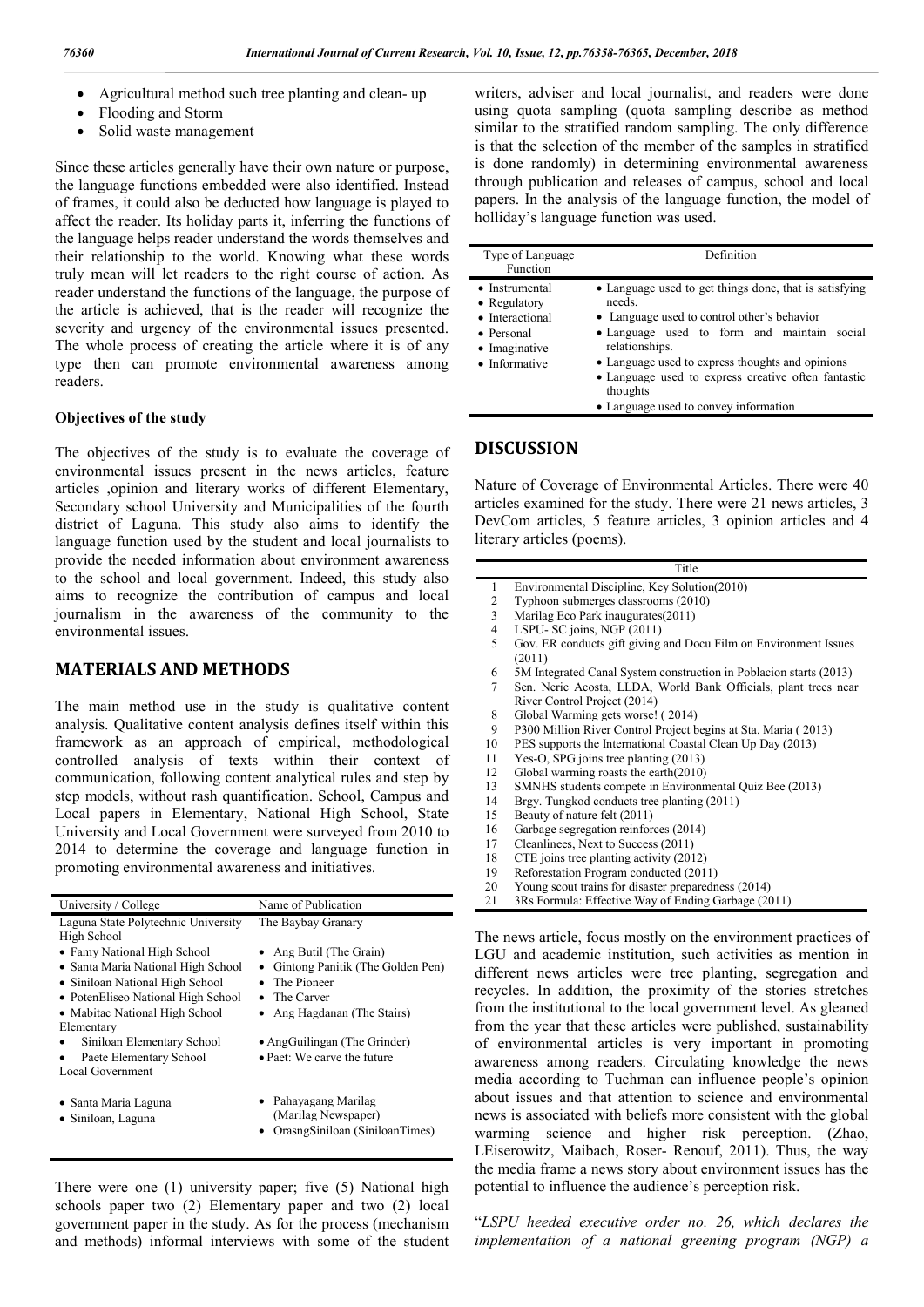- Agricultural method such tree planting and clean- up
- Flooding and Storm
- Solid waste management

Since these articles generally have their own nature or purpose, the language functions embedded were also identified. Instead of frames, it could also be deducted how language is played to affect the reader. Its holiday parts it, inferring the functions of the language helps reader understand the words themselves and their relationship to the world. Knowing what these words truly mean will let readers to the right course of action. As reader understand the functions of the language, the purpose of the article is achieved, that is the reader will recognize the severity and urgency of the environmental issues presented. The whole process of creating the article where it is of any type then can promote environmental awareness among readers.

### **Objectives of the study**

The objectives of the study is to evaluate the coverage of environmental issues present in the news articles, feature articles ,opinion and literary works of different Elementary, Secondary school University and Municipalities of the fourth district of Laguna. This study also aims to identify the language function used by the student and local journalists to provide the needed information about environment awareness to the school and local government. Indeed, this study also aims to recognize the contribution of campus and local journalism in the awareness of the community to the environmental issues.

# **MATERIALS AND METHODS**

The main method use in the study is qualitative content analysis. Qualitative content analysis defines itself within this framework as an approach of empirical, methodological controlled analysis of texts within their context of communication, following content analytical rules and step by step models, without rash quantification. School, Campus and Local papers in Elementary, National High School, State University and Local Government were surveyed from 2010 to 2014 to determine the coverage and language function in promoting environmental awareness and initiatives.

| University / College                | Name of Publication                |
|-------------------------------------|------------------------------------|
| Laguna State Polytechnic University | The Baybay Granary                 |
| High School                         |                                    |
| • Famy National High School         | • Ang Butil (The Grain)            |
| • Santa Maria National High School  | • Gintong Panitik (The Golden Pen) |
| • Siniloan National High School     | • The Pioneer                      |
| • PotenEliseo National High School  | • The Carver                       |
| • Mabitac National High School      | • Ang Hagdanan (The Stairs)        |
| Elementary                          |                                    |
| Siniloan Elementary School          | • AngGuilingan (The Grinder)       |
| Paete Elementary School             | • Paet: We carve the future        |
| Local Government                    |                                    |
|                                     |                                    |
| • Santa Maria Laguna                | • Pahayagang Marilag               |
| • Siniloan, Laguna                  | (Marilag Newspaper)                |
|                                     | • OrasngSiniloan (SiniloanTimes)   |
|                                     |                                    |

There were one (1) university paper; five (5) National high schools paper two (2) Elementary paper and two (2) local government paper in the study. As for the process (mechanism and methods) informal interviews with some of the student

writers, adviser and local journalist, and readers were done using quota sampling (quota sampling describe as method similar to the stratified random sampling. The only difference is that the selection of the member of the samples in stratified is done randomly) in determining environmental awareness through publication and releases of campus, school and local papers. In the analysis of the language function, the model of holliday's language function was used.

| Type of Language<br><b>Function</b>                                                               | Definition                                                                                                                                                                                                                                                                                                                                       |
|---------------------------------------------------------------------------------------------------|--------------------------------------------------------------------------------------------------------------------------------------------------------------------------------------------------------------------------------------------------------------------------------------------------------------------------------------------------|
| • Instrumental<br>• Regulatory<br>• Interactional<br>• Personal<br>• Imaginative<br>• Informative | • Language used to get things done, that is satisfying<br>needs.<br>• Language used to control other's behavior<br>• Language used to form and maintain social<br>relationships.<br>• Language used to express thoughts and opinions<br>• Language used to express creative often fantastic<br>thoughts<br>• Language used to convey information |

# **DISCUSSION**

Nature of Coverage of Environmental Articles. There were 40 articles examined for the study. There were 21 news articles, 3 DevCom articles, 5 feature articles, 3 opinion articles and 4 literary articles (poems).

#### Title

- 1 Environmental Discipline, Key Solution(2010)<br>2 Typhoon submerges classrooms (2010)
- 2 Typhoon submerges classrooms (2010)<br>3 Marilag Eco Park inaugurates (2011)
- Marilag Eco Park inaugurates(2011)
- 4 LSPU- SC joins, NGP (2011)
- 5 Gov. ER conducts gift giving and Docu Film on Environment Issues (2011)
- 6 5M Integrated Canal System construction in Poblacion starts (2013)
- 7 Sen. Neric Acosta, LLDA, World Bank Officials, plant trees near River Control Project (2014)
- 8 Global Warming gets worse! ( 2014)
- 9 P300 Million River Control Project begins at Sta. Maria (2013)<br>10 PES supports the International Coastal Clean Up Day (2013)
- 10 PES supports the International Coastal Clean Up Day (2013)<br>11 Yes-O. SPG joins tree planting (2013)
- Yes-O, SPG joins tree planting (2013)
- 12 Global warming roasts the earth(2010)
- 13 SMNHS students compete in Environmental Quiz Bee (2013)
- 14 Brgy. Tungkod conducts tree planting (2011)<br>15 Beauty of nature felt (2011)
- Beauty of nature felt (2011)
- 16 Garbage segregation reinforces (2014)<br>17 Cleanliness. Next to Success (2011)
- 17 Cleanlinees, Next to Success (2011)<br>18 CTE joins tree planting activity (201
- 18 CTE joins tree planting activity (2012)<br>19 Reforestation Program conducted (201
- Reforestation Program conducted (2011)
- 20 Young scout trains for disaster preparedness (2014)
- 21 3Rs Formula: Effective Way of Ending Garbage (2011)

The news article, focus mostly on the environment practices of LGU and academic institution, such activities as mention in different news articles were tree planting, segregation and recycles. In addition, the proximity of the stories stretches from the institutional to the local government level. As gleaned from the year that these articles were published, sustainability of environmental articles is very important in promoting awareness among readers. Circulating knowledge the news media according to Tuchman can influence people's opinion about issues and that attention to science and environmental news is associated with beliefs more consistent with the global warming science and higher risk perception. (Zhao, LEiserowitz, Maibach, Roser- Renouf, 2011). Thus, the way the media frame a news story about environment issues has the potential to influence the audience's perception risk.

"*LSPU heeded executive order no. 26, which declares the implementation of a national greening program (NGP) a*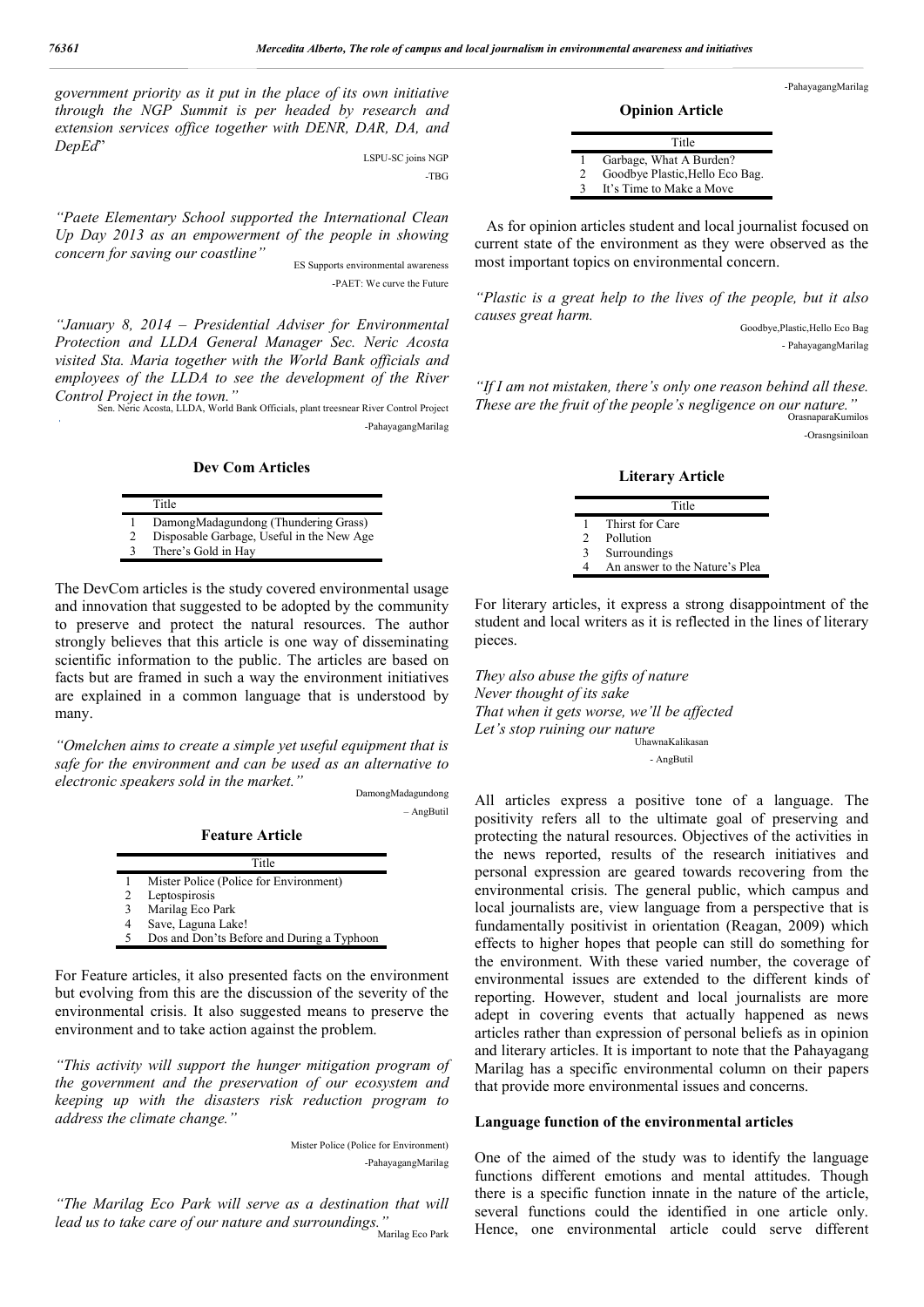*government priority as it put in the place of its own initiative through the NGP Summit is per headed by research and extension services office together with DENR, DAR, DA, and DepEd*" LSPU-SC joins NGP

-TBG

*"Paete Elementary School supported the International Clean Up Day 2013 as an empowerment of the people in showing concern for saving our coastline"*

ES Supports environmental awareness -PAET: We curve the Future

*"January 8, 2014 – Presidential Adviser for Environmental Protection and LLDA General Manager Sec. Neric Acosta visited Sta. Maria together with the World Bank officials and employees of the LLDA to see the development of the River Control Project in the town."*

Sen. Neric Acosta, LLDA, World Bank Officials, plant treesnear River Control Project -PahayagangMarilag

**Dev Com Articles**

|   | Title                                     |
|---|-------------------------------------------|
|   | DamongMadagundong (Thundering Grass)      |
| 2 | Disposable Garbage, Useful in the New Age |
| 3 | There's Gold in Hay                       |

The DevCom articles is the study covered environmental usage and innovation that suggested to be adopted by the community to preserve and protect the natural resources. The author strongly believes that this article is one way of disseminating scientific information to the public. The articles are based on facts but are framed in such a way the environment initiatives are explained in a common language that is understood by many.

*"Omelchen aims to create a simple yet useful equipment that is safe for the environment and can be used as an alternative to electronic speakers sold in the market."*

DamongMadagundong – AngButil

**Feature Article**

|   | Title                                      |
|---|--------------------------------------------|
|   | Mister Police (Police for Environment)     |
| 2 | Leptospirosis                              |
| 3 | Marilag Eco Park                           |
| 4 | Save, Laguna Lake!                         |
| 5 | Dos and Don'ts Before and During a Typhoon |

For Feature articles, it also presented facts on the environment but evolving from this are the discussion of the severity of the environmental crisis. It also suggested means to preserve the environment and to take action against the problem.

*"This activity will support the hunger mitigation program of the government and the preservation of our ecosystem and keeping up with the disasters risk reduction program to address the climate change."* 

> Mister Police (Police for Environment) -PahayagangMarilag

*"The Marilag Eco Park will serve as a destination that will lead us to take care of our nature and surroundings."* .<br>Marilag Eco Park

-PahayagangMarilag

**Opinion Article**

|              | Title                           |
|--------------|---------------------------------|
|              | Garbage, What A Burden?         |
| 2            | Goodbye Plastic, Hello Eco Bag. |
| $\mathbf{R}$ | It's Time to Make a Move        |

 As for opinion articles student and local journalist focused on current state of the environment as they were observed as the most important topics on environmental concern.

*"Plastic is a great help to the lives of the people, but it also causes great harm.*

Goodbye,Plastic,Hello Eco Bag - PahayagangMarilag

*"If I am not mistaken, there's only one reason behind all these. These are the fruit of the people's negligence on our nature."* OrasnaparaKumilos -Orasngsiniloan

#### **Literary Article**

|               | Title                          |
|---------------|--------------------------------|
|               | Thirst for Care                |
| $\mathcal{D}$ | Pollution                      |
| 3             | Surroundings                   |
| 4             | An answer to the Nature's Plea |

For literary articles, it express a strong disappointment of the student and local writers as it is reflected in the lines of literary pieces.

*They also abuse the gifts of nature Never thought of its sake That when it gets worse, we'll be affected Let's stop ruining our nature* UhawnaKalikasan

- AngButil

All articles express a positive tone of a language. The positivity refers all to the ultimate goal of preserving and protecting the natural resources. Objectives of the activities in the news reported, results of the research initiatives and personal expression are geared towards recovering from the environmental crisis. The general public, which campus and local journalists are, view language from a perspective that is fundamentally positivist in orientation (Reagan, 2009) which effects to higher hopes that people can still do something for the environment. With these varied number, the coverage of environmental issues are extended to the different kinds of reporting. However, student and local journalists are more adept in covering events that actually happened as news articles rather than expression of personal beliefs as in opinion and literary articles. It is important to note that the Pahayagang Marilag has a specific environmental column on their papers that provide more environmental issues and concerns.

#### **Language function of the environmental articles**

One of the aimed of the study was to identify the language functions different emotions and mental attitudes. Though there is a specific function innate in the nature of the article, several functions could the identified in one article only. Hence, one environmental article could serve different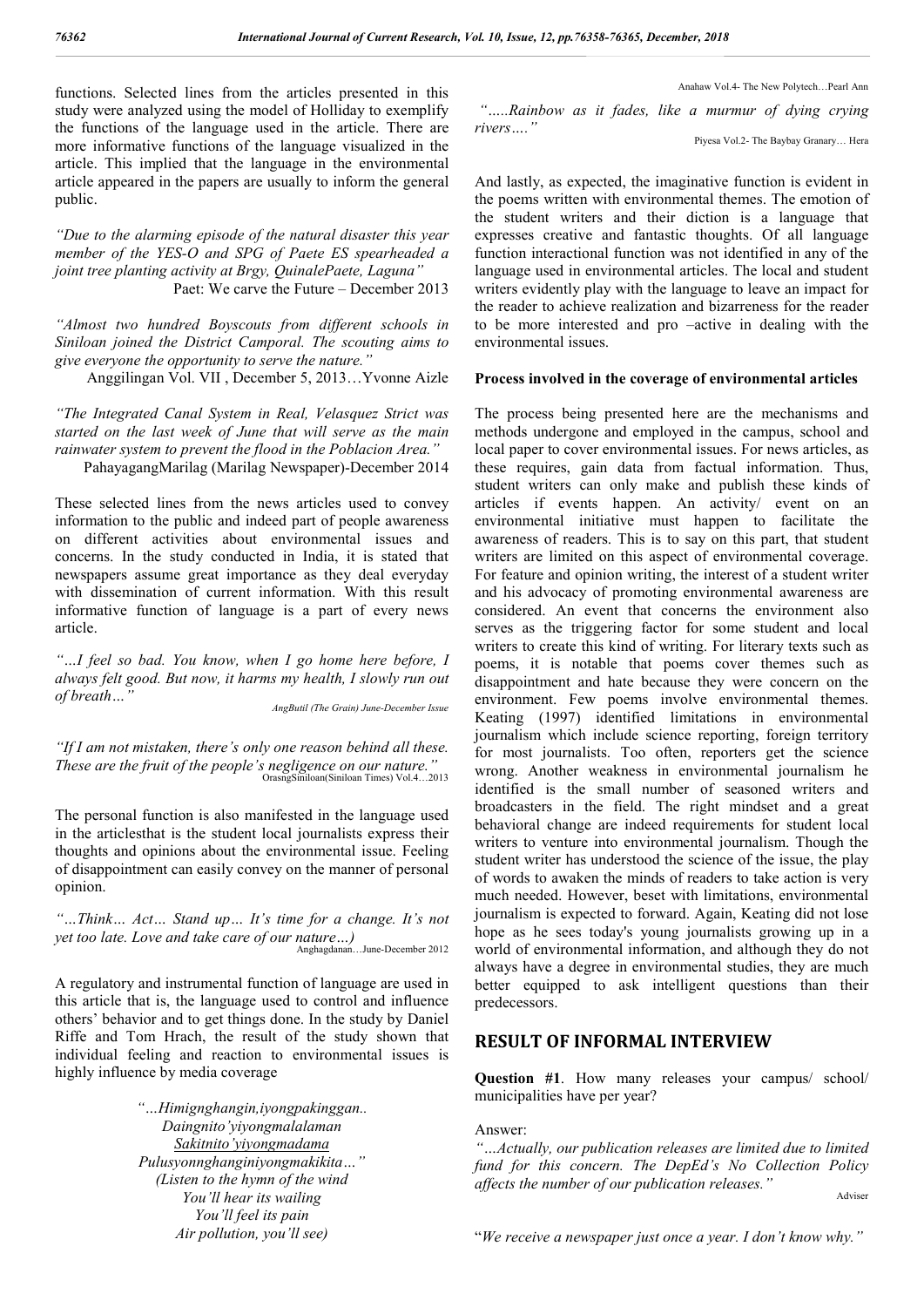functions. Selected lines from the articles presented in this study were analyzed using the model of Holliday to exemplify the functions of the language used in the article. There are more informative functions of the language visualized in the article. This implied that the language in the environmental article appeared in the papers are usually to inform the general public.

*"Due to the alarming episode of the natural disaster this year member of the YES-O and SPG of Paete ES spearheaded a joint tree planting activity at Brgy, QuinalePaete, Laguna"* Paet: We carve the Future – December 2013

*"Almost two hundred Boyscouts from different schools in Siniloan joined the District Camporal. The scouting aims to give everyone the opportunity to serve the nature."*

Anggilingan Vol. VII , December 5, 2013…Yvonne Aizle

*"The Integrated Canal System in Real, Velasquez Strict was started on the last week of June that will serve as the main rainwater system to prevent the flood in the Poblacion Area."*

PahayagangMarilag (Marilag Newspaper)-December 2014

These selected lines from the news articles used to convey information to the public and indeed part of people awareness on different activities about environmental issues and concerns. In the study conducted in India, it is stated that newspapers assume great importance as they deal everyday with dissemination of current information. With this result informative function of language is a part of every news article.

*"…I feel so bad. You know, when I go home here before, I always felt good. But now, it harms my health, I slowly run out of breath…"*

*AngButil (The Grain) June-December Issue*

*"If I am not mistaken, there's only one reason behind all these. These are the fruit of the people's negligence on our nature."* OrasngSiniloan(Siniloan Times) Vol.4…2013

The personal function is also manifested in the language used in the articlesthat is the student local journalists express their thoughts and opinions about the environmental issue. Feeling of disappointment can easily convey on the manner of personal opinion.

*"…Think… Act… Stand up… It's time for a change. It's not yet too late. Love and take care of our nature…)* Anghagdanan…June-December 2012

A regulatory and instrumental function of language are used in this article that is, the language used to control and influence others' behavior and to get things done. In the study by Daniel Riffe and Tom Hrach, the result of the study shown that individual feeling and reaction to environmental issues is highly influence by media coverage

> *"…Himignghangin,iyongpakinggan.. Daingnito'yiyongmalalaman Sakitnito'yiyongmadama Pulusyonnghanginiyongmakikita…" (Listen to the hymn of the wind You'll hear its wailing You'll feel its pain Air pollution, you'll see)*

Anahaw Vol.4- The New Polytech…Pearl Ann

*"…..Rainbow as it fades, like a murmur of dying crying rivers…."*

Piyesa Vol.2- The Baybay Granary… Hera

And lastly, as expected, the imaginative function is evident in the poems written with environmental themes. The emotion of the student writers and their diction is a language that expresses creative and fantastic thoughts. Of all language function interactional function was not identified in any of the language used in environmental articles. The local and student writers evidently play with the language to leave an impact for the reader to achieve realization and bizarreness for the reader to be more interested and pro –active in dealing with the environmental issues.

### **Process involved in the coverage of environmental articles**

The process being presented here are the mechanisms and methods undergone and employed in the campus, school and local paper to cover environmental issues. For news articles, as these requires, gain data from factual information. Thus, student writers can only make and publish these kinds of articles if events happen. An activity/ event on an environmental initiative must happen to facilitate the awareness of readers. This is to say on this part, that student writers are limited on this aspect of environmental coverage. For feature and opinion writing, the interest of a student writer and his advocacy of promoting environmental awareness are considered. An event that concerns the environment also serves as the triggering factor for some student and local writers to create this kind of writing. For literary texts such as poems, it is notable that poems cover themes such as disappointment and hate because they were concern on the environment. Few poems involve environmental themes. Keating (1997) identified limitations in environmental journalism which include science reporting, foreign territory for most journalists. Too often, reporters get the science wrong. Another weakness in environmental journalism he identified is the small number of seasoned writers and broadcasters in the field. The right mindset and a great behavioral change are indeed requirements for student local writers to venture into environmental journalism. Though the student writer has understood the science of the issue, the play of words to awaken the minds of readers to take action is very much needed. However, beset with limitations, environmental journalism is expected to forward. Again, Keating did not lose hope as he sees today's young journalists growing up in a world of environmental information, and although they do not always have a degree in environmental studies, they are much better equipped to ask intelligent questions than their predecessors.

# **RESULT OF INFORMAL INTERVIEW**

**Question #1**. How many releases your campus/ school/ municipalities have per year?

### Answer:

*"…Actually, our publication releases are limited due to limited fund for this concern. The DepEd's No Collection Policy affects the number of our publication releases."*

Adviser

"*We receive a newspaper just once a year. I don't know why."*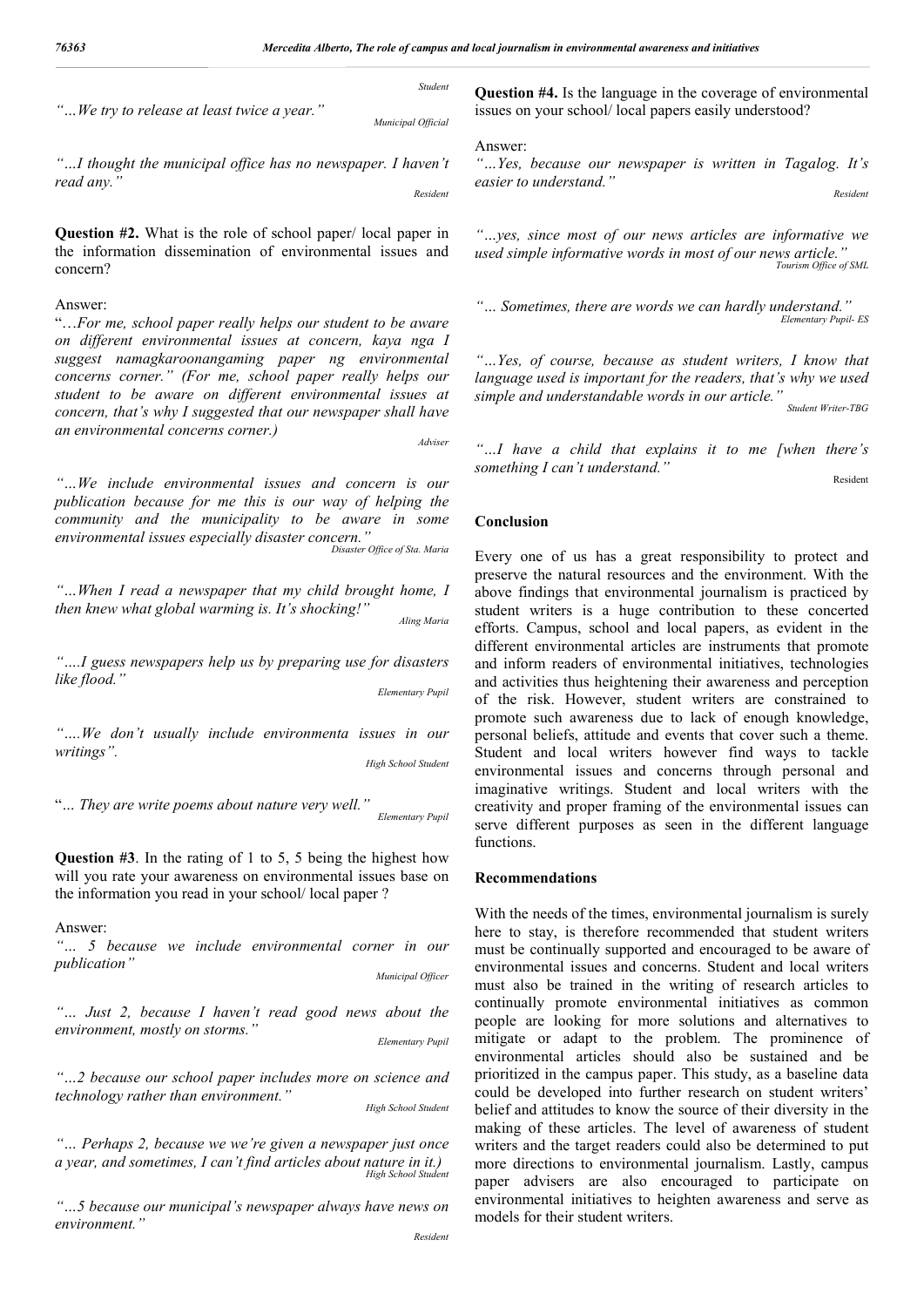*Student*

*"…We try to release at least twice a year."*

*Municipal Official*

*"…I thought the municipal office has no newspaper. I haven't read any." Resident*

**Question #2.** What is the role of school paper/ local paper in the information dissemination of environmental issues and concern?

#### Answer:

"…*For me, school paper really helps our student to be aware on different environmental issues at concern, kaya nga I suggest namagkaroonangaming paper ng environmental concerns corner." (For me, school paper really helps our student to be aware on different environmental issues at concern, that's why I suggested that our newspaper shall have an environmental concerns corner.)*

*Adviser*

*"…We include environmental issues and concern is our publication because for me this is our way of helping the community and the municipality to be aware in some environmental issues especially disaster concern." Disaster Office of Sta. Maria*

*"…When I read a newspaper that my child brought home, I then knew what global warming is. It's shocking!" Aling Maria*

*"….I guess newspapers help us by preparing use for disasters like flood."*

*Elementary Pupil*

*"….We don't usually include environmenta issues in our writings". High School Student*

"*… They are write poems about nature very well."*

*Elementary Pupil*

**Question #3**. In the rating of 1 to 5, 5 being the highest how will you rate your awareness on environmental issues base on the information you read in your school/ local paper ?

Answer:

*"… 5 because we include environmental corner in our publication" Municipal Officer*

*"… Just 2, because I haven't read good news about the environment, mostly on storms."*

*Elementary Pupil*

*"…2 because our school paper includes more on science and technology rather than environment."*

*High School Student*

*"… Perhaps 2, because we we're given a newspaper just once a year, and sometimes, I can't find articles about nature in it.) High School Student*

*"…5 because our municipal's newspaper always have news on environment."*

**Question #4.** Is the language in the coverage of environmental issues on your school/ local papers easily understood?

Answer:

*"…Yes, because our newspaper is written in Tagalog. It's easier to understand." Resident*

*"…yes, since most of our news articles are informative we used simple informative words in most of our news article." Tourism Office of SML*

*"… Sometimes, there are words we can hardly understand." Elementary Pupil- ES*

*"…Yes, of course, because as student writers, I know that language used is important for the readers, that's why we used simple and understandable words in our article." Student Writer-TBG*

*"…I have a child that explains it to me [when there's something I can't understand."*

Resident

# **Conclusion**

Every one of us has a great responsibility to protect and preserve the natural resources and the environment. With the above findings that environmental journalism is practiced by student writers is a huge contribution to these concerted efforts. Campus, school and local papers, as evident in the different environmental articles are instruments that promote and inform readers of environmental initiatives, technologies and activities thus heightening their awareness and perception of the risk. However, student writers are constrained to promote such awareness due to lack of enough knowledge, personal beliefs, attitude and events that cover such a theme. Student and local writers however find ways to tackle environmental issues and concerns through personal and imaginative writings. Student and local writers with the creativity and proper framing of the environmental issues can serve different purposes as seen in the different language functions.

### **Recommendations**

With the needs of the times, environmental journalism is surely here to stay, is therefore recommended that student writers must be continually supported and encouraged to be aware of environmental issues and concerns. Student and local writers must also be trained in the writing of research articles to continually promote environmental initiatives as common people are looking for more solutions and alternatives to mitigate or adapt to the problem. The prominence of environmental articles should also be sustained and be prioritized in the campus paper. This study, as a baseline data could be developed into further research on student writers' belief and attitudes to know the source of their diversity in the making of these articles. The level of awareness of student writers and the target readers could also be determined to put more directions to environmental journalism. Lastly, campus paper advisers are also encouraged to participate on environmental initiatives to heighten awareness and serve as models for their student writers.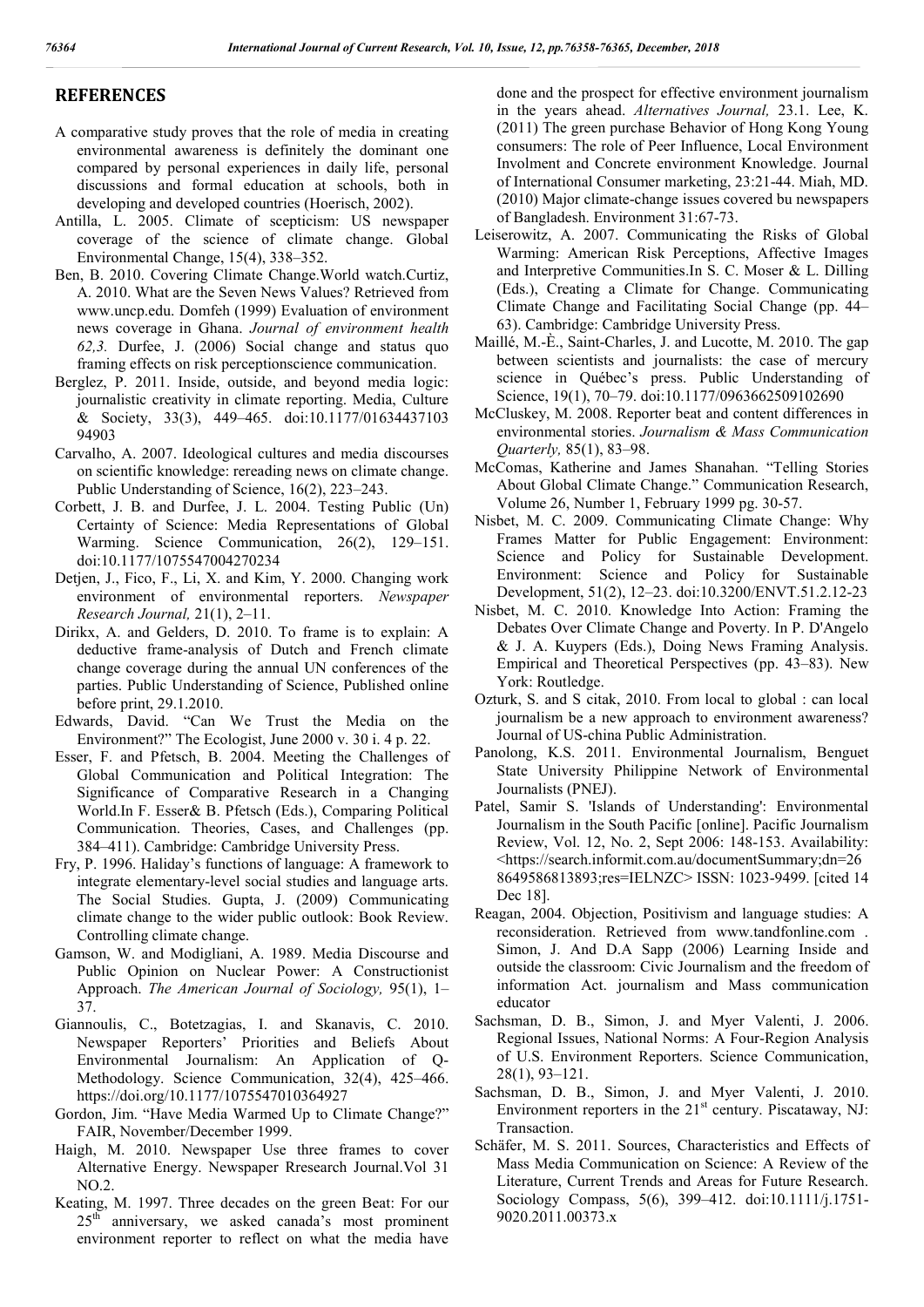# **REFERENCES**

- A comparative study proves that the role of media in creating environmental awareness is definitely the dominant one compared by personal experiences in daily life, personal discussions and formal education at schools, both in developing and developed countries (Hoerisch, 2002).
- Antilla, L. 2005. Climate of scepticism: US newspaper coverage of the science of climate change. Global Environmental Change, 15(4), 338–352.
- Ben, B. 2010. Covering Climate Change.World watch.Curtiz, A. 2010. What are the Seven News Values? Retrieved from www.uncp.edu. Domfeh (1999) Evaluation of environment news coverage in Ghana. *Journal of environment health 62,3.* Durfee, J. (2006) Social change and status quo framing effects on risk perceptionscience communication.
- Berglez, P. 2011. Inside, outside, and beyond media logic: journalistic creativity in climate reporting. Media, Culture & Society, 33(3), 449–465. doi:10.1177/01634437103 94903
- Carvalho, A. 2007. Ideological cultures and media discourses on scientific knowledge: rereading news on climate change. Public Understanding of Science, 16(2), 223–243.
- Corbett, J. B. and Durfee, J. L. 2004. Testing Public (Un) Certainty of Science: Media Representations of Global Warming. Science Communication, 26(2), 129–151. doi:10.1177/1075547004270234
- Detjen, J., Fico, F., Li, X. and Kim, Y. 2000. Changing work environment of environmental reporters. *Newspaper Research Journal,* 21(1), 2–11.
- Dirikx, A. and Gelders, D. 2010. To frame is to explain: A deductive frame-analysis of Dutch and French climate change coverage during the annual UN conferences of the parties. Public Understanding of Science, Published online before print, 29.1.2010.
- Edwards, David. "Can We Trust the Media on the Environment?" The Ecologist, June 2000 v. 30 i. 4 p. 22.
- Esser, F. and Pfetsch, B. 2004. Meeting the Challenges of Global Communication and Political Integration: The Significance of Comparative Research in a Changing World.In F. Esser& B. Pfetsch (Eds.), Comparing Political Communication. Theories, Cases, and Challenges (pp. 384–411). Cambridge: Cambridge University Press.
- Fry, P. 1996. Haliday's functions of language: A framework to integrate elementary-level social studies and language arts. The Social Studies. Gupta, J. (2009) Communicating climate change to the wider public outlook: Book Review. Controlling climate change.
- Gamson, W. and Modigliani, A. 1989. Media Discourse and Public Opinion on Nuclear Power: A Constructionist Approach. *The American Journal of Sociology,* 95(1), 1– 37.
- Giannoulis, C., Botetzagias, I. and Skanavis, C. 2010. Newspaper Reporters' Priorities and Beliefs About Environmental Journalism: An Application of Q-Methodology. Science Communication, 32(4), 425–466. https://doi.org/10.1177/1075547010364927
- Gordon, Jim. "Have Media Warmed Up to Climate Change?" FAIR, November/December 1999.
- Haigh, M. 2010. Newspaper Use three frames to cover Alternative Energy. Newspaper Rresearch Journal.Vol 31 NO.2.
- Keating, M. 1997. Three decades on the green Beat: For our  $25<sup>th</sup>$  anniversary, we asked canada's most prominent environment reporter to reflect on what the media have

done and the prospect for effective environment journalism in the years ahead. *Alternatives Journal,* 23.1. Lee, K. (2011) The green purchase Behavior of Hong Kong Young consumers: The role of Peer Influence, Local Environment Involment and Concrete environment Knowledge. Journal of International Consumer marketing, 23:21-44. Miah, MD. (2010) Major climate-change issues covered bu newspapers of Bangladesh. Environment 31:67-73.

- Leiserowitz, A. 2007. Communicating the Risks of Global Warming: American Risk Perceptions, Affective Images and Interpretive Communities.In S. C. Moser & L. Dilling (Eds.), Creating a Climate for Change. Communicating Climate Change and Facilitating Social Change (pp. 44– 63). Cambridge: Cambridge University Press.
- Maillé, M.-È., Saint-Charles, J. and Lucotte, M. 2010. The gap between scientists and journalists: the case of mercury science in Québec's press. Public Understanding of Science, 19(1), 70–79. doi:10.1177/0963662509102690
- McCluskey, M. 2008. Reporter beat and content differences in environmental stories. *Journalism & Mass Communication Quarterly,* 85(1), 83–98.
- McComas, Katherine and James Shanahan. "Telling Stories About Global Climate Change." Communication Research, Volume 26, Number 1, February 1999 pg. 30-57.
- Nisbet, M. C. 2009. Communicating Climate Change: Why Frames Matter for Public Engagement: Environment: Science and Policy for Sustainable Development. Environment: Science and Policy for Sustainable Development, 51(2), 12–23. doi:10.3200/ENVT.51.2.12-23
- Nisbet, M. C. 2010. Knowledge Into Action: Framing the Debates Over Climate Change and Poverty. In P. D'Angelo & J. A. Kuypers (Eds.), Doing News Framing Analysis. Empirical and Theoretical Perspectives (pp. 43–83). New York: Routledge.
- Ozturk, S. and S citak, 2010. From local to global : can local journalism be a new approach to environment awareness? Journal of US-china Public Administration.
- Panolong, K.S. 2011. Environmental Journalism, Benguet State University Philippine Network of Environmental Journalists (PNEJ).
- Patel, Samir S. 'Islands of Understanding': Environmental Journalism in the South Pacific [online]. Pacific Journalism Review, Vol. 12, No. 2, Sept 2006: 148-153. Availability: <https://search.informit.com.au/documentSummary;dn=26 8649586813893;res=IELNZC> ISSN: 1023-9499. [cited 14 Dec 18].
- Reagan, 2004. Objection, Positivism and language studies: A reconsideration. Retrieved from www.tandfonline.com . Simon, J. And D.A Sapp (2006) Learning Inside and outside the classroom: Civic Journalism and the freedom of information Act. journalism and Mass communication educator
- Sachsman, D. B., Simon, J. and Myer Valenti, J. 2006. Regional Issues, National Norms: A Four-Region Analysis of U.S. Environment Reporters. Science Communication, 28(1), 93–121.
- Sachsman, D. B., Simon, J. and Myer Valenti, J. 2010. Environment reporters in the  $21<sup>st</sup>$  century. Piscataway, NJ: Transaction.
- Schäfer, M. S. 2011. Sources, Characteristics and Effects of Mass Media Communication on Science: A Review of the Literature, Current Trends and Areas for Future Research. Sociology Compass, 5(6), 399–412. doi:10.1111/j.1751- 9020.2011.00373.x